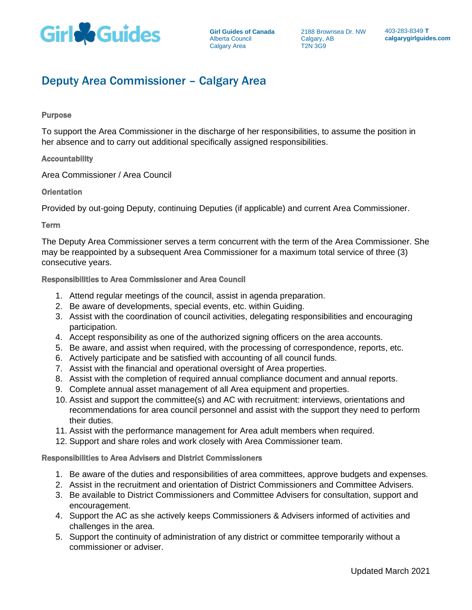

# Deputy Area Commissioner – Calgary Area

#### Purpose

To support the Area Commissioner in the discharge of her responsibilities, to assume the position in her absence and to carry out additional specifically assigned responsibilities.

## Accountability

Area Commissioner / Area Council

## **Orientation**

Provided by out-going Deputy, continuing Deputies (if applicable) and current Area Commissioner.

## Term

The Deputy Area Commissioner serves a term concurrent with the term of the Area Commissioner. She may be reappointed by a subsequent Area Commissioner for a maximum total service of three (3) consecutive years.

## Responsibilities to Area Commissioner and Area Council

- 1. Attend regular meetings of the council, assist in agenda preparation.
- 2. Be aware of developments, special events, etc. within Guiding.
- 3. Assist with the coordination of council activities, delegating responsibilities and encouraging participation.
- 4. Accept responsibility as one of the authorized signing officers on the area accounts.
- 5. Be aware, and assist when required, with the processing of correspondence, reports, etc.
- 6. Actively participate and be satisfied with accounting of all council funds.
- 7. Assist with the financial and operational oversight of Area properties.
- 8. Assist with the completion of required annual compliance document and annual reports.
- 9. Complete annual asset management of all Area equipment and properties.
- 10. Assist and support the committee(s) and AC with recruitment: interviews, orientations and recommendations for area council personnel and assist with the support they need to perform their duties.
- 11. Assist with the performance management for Area adult members when required.
- 12. Support and share roles and work closely with Area Commissioner team.

#### Responsibilities to Area Advisers and District Commissioners

- 1. Be aware of the duties and responsibilities of area committees, approve budgets and expenses.
- 2. Assist in the recruitment and orientation of District Commissioners and Committee Advisers.
- 3. Be available to District Commissioners and Committee Advisers for consultation, support and encouragement.
- 4. Support the AC as she actively keeps Commissioners & Advisers informed of activities and challenges in the area.
- 5. Support the continuity of administration of any district or committee temporarily without a commissioner or adviser.